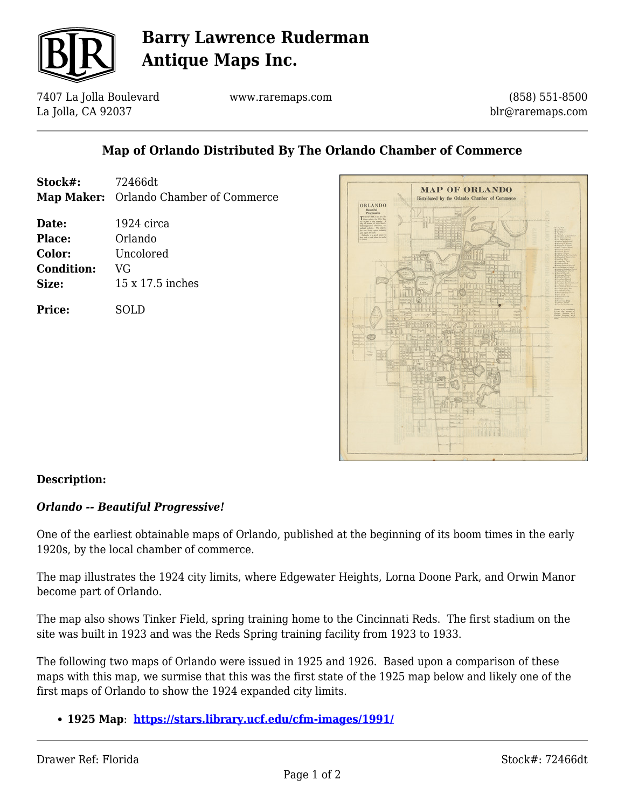

# **Barry Lawrence Ruderman Antique Maps Inc.**

7407 La Jolla Boulevard La Jolla, CA 92037

www.raremaps.com

(858) 551-8500 blr@raremaps.com

## **Map of Orlando Distributed By The Orlando Chamber of Commerce**

- **Stock#:** 72466dt **Map Maker:** Orlando Chamber of Commerce
- **Date:** 1924 circa **Place:** Orlando **Color:** Uncolored **Condition:** VG **Size:** 15 x 17.5 inches

**Price:** SOLD



### **Description:**

#### *Orlando -- Beautiful Progressive!*

One of the earliest obtainable maps of Orlando, published at the beginning of its boom times in the early 1920s, by the local chamber of commerce.

The map illustrates the 1924 city limits, where Edgewater Heights, Lorna Doone Park, and Orwin Manor become part of Orlando.

The map also shows Tinker Field, spring training home to the Cincinnati Reds. The first stadium on the site was built in 1923 and was the Reds Spring training facility from 1923 to 1933.

The following two maps of Orlando were issued in 1925 and 1926. Based upon a comparison of these maps with this map, we surmise that this was the first state of the 1925 map below and likely one of the first maps of Orlando to show the 1924 expanded city limits.

**1925 Map**: **<https://stars.library.ucf.edu/cfm-images/1991/>**